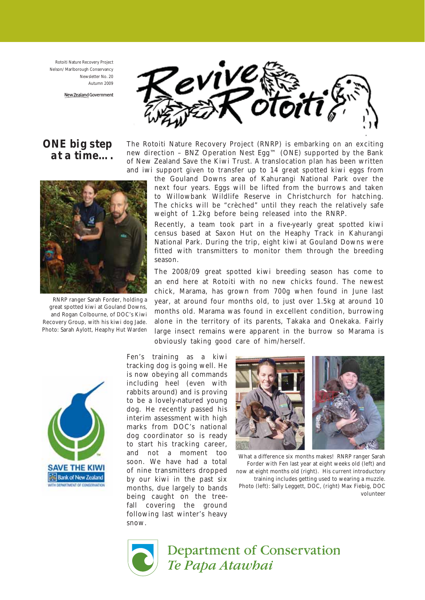Rotoiti Nature Recovery Project Nelson/ Marlborough Conservancy Newsletter No. 20 Autumn 2009

New Zealand Government



ONE big step at a time….



RNRP ranger Sarah Forder, holding a great spotted kiwi at Gouland Downs, and Rogan Colbourne, of DOC's Kiwi Recovery Group, with his kiwi dog Jade. Photo: Sarah Aylott, Heaphy Hut Warden

The Rotoiti Nature Recovery Project (RNRP) is embarking on an exciting new direction – BNZ Operation Nest Egg™ (ONE) supported by the Bank of New Zealand Save the Kiwi Trust. A translocation plan has been written and iwi support given to transfer up to 14 great spotted kiwi eggs from

the Gouland Downs area of Kahurangi National Park over the next four years. Eggs will be lifted from the burrows and taken to Willowbank Wildlife Reserve in Christchurch for hatching. The chicks will be "crèched" until they reach the relatively safe weight of 1.2kg before being released into the RNRP.

Recently, a team took part in a five-yearly great spotted kiwi census based at Saxon Hut on the Heaphy Track in Kahurangi National Park. During the trip, eight kiwi at Gouland Downs were fitted with transmitters to monitor them through the breeding season.

The 2008/09 great spotted kiwi breeding season has come to an end here at Rotoiti with no new chicks found. The newest chick, Marama, has grown from 700g when found in June last year, at around four months old, to just over 1.5kg at around 10 months old. Marama was found in excellent condition, burrowing alone in the territory of its parents, Takaka and Onekaka. Fairly large insect remains were apparent in the burrow so Marama is obviously taking good care of him/herself.



Fen's training as a kiwi tracking dog is going well. He is now obeying all commands including heel (even with rabbits around) and is proving to be a lovely-natured young dog. He recently passed his interim assessment with high marks from DOC's national dog coordinator so is ready to start his tracking career, and not a moment too soon. We have had a total of nine transmitters dropped by our kiwi in the past six months, due largely to bands being caught on the treefall covering the ground following last winter's heavy snow.



What a difference six months makes! RNRP ranger Sarah Forder with Fen last year at eight weeks old (left) and now at eight months old (right). His current introductory training includes getting used to wearing a muzzle. Photo (left): Sally Leggett, DOC, (right) Max Fiebig, DOC volunteer



**Department of Conservation** Te Papa Atawhai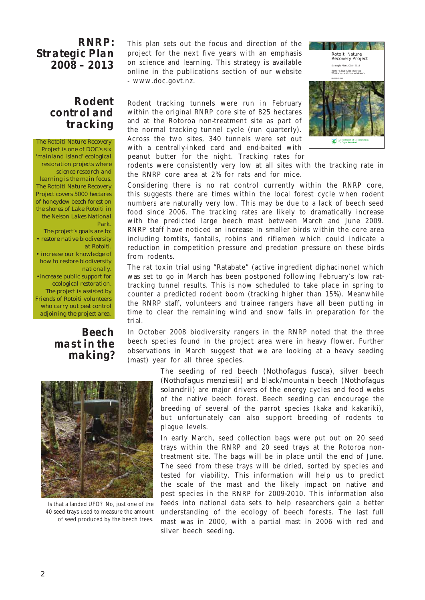#### RNRP: Strategic Plan 2008 – 2013

## Rodent control and tracking

The Rotoiti Nature Recovery Project is one of DOC's six 'mainland island' ecological restoration projects where science research and learning is the main focus. The Rotoiti Nature Recovery Project covers 5000 hectares of honeydew beech forest on the shores of Lake Rotoiti in the Nelson Lakes National Park.

The project's goals are to: • restore native biodiversity at Rotoiti.

- increase our knowledge of how to restore biodiversity
- nationally. •increase public support for ecological restoration. The project is assisted by Friends of Rotoiti volunteers who carry out pest control adjoining the project area.

## Beech mast in the making?

This plan sets out the focus and direction of the project for the next five years with an emphasis on science and learning. This strategy is available online in the publications section of our website - www.doc.govt.nz.

Rodent tracking tunnels were run in February within the original RNRP core site of 825 hectares and at the Rotoroa non-treatment site as part of the normal tracking tunnel cycle (run quarterly). Across the two sites, 340 tunnels were set out with a centrally-inked card and end-baited with peanut butter for the night. Tracking rates for



rodents were consistently very low at all sites with the tracking rate in the RNRP core area at 2% for rats and for mice.

Considering there is no rat control currently within the RNRP core, this suggests there are times within the local forest cycle when rodent numbers are naturally very low. This may be due to a lack of beech seed food since 2006. The tracking rates are likely to dramatically increase with the predicted large beech mast between March and June 2009. RNRP staff have noticed an increase in smaller birds within the core area including tomtits, fantails, robins and riflemen which could indicate a reduction in competition pressure and predation pressure on these birds from rodents.

The rat toxin trial using "Ratabate" (active ingredient diphacinone) which was set to go in March has been postponed following February's low rattracking tunnel results. This is now scheduled to take place in spring to counter a predicted rodent boom (tracking higher than 15%). Meanwhile the RNRP staff, volunteers and trainee rangers have all been putting in time to clear the remaining wind and snow falls in preparation for the trial.

In October 2008 biodiversity rangers in the RNRP noted that the three beech species found in the project area were in heavy flower. Further observations in March suggest that we are looking at a heavy seeding (mast) year for all three species.



Is that a landed UFO? No, just one of the 40 seed trays used to measure the amount of seed produced by the beech trees.

The seeding of red beech (Nothofagus fusca), silver beech (Nothofagus menziesii) and black/mountain beech (Nothofagus solandrii) are major drivers of the energy cycles and food webs of the native beech forest. Beech seeding can encourage the breeding of several of the parrot species (kaka and kakariki), but unfortunately can also support breeding of rodents to plague levels.

In early March, seed collection bags were put out on 20 seed trays within the RNRP and 20 seed trays at the Rotoroa nontreatment site. The bags will be in place until the end of June. The seed from these trays will be dried, sorted by species and tested for viability. This information will help us to predict the scale of the mast and the likely impact on native and pest species in the RNRP for 2009-2010. This information also feeds into national data sets to help researchers gain a better understanding of the ecology of beech forests. The last full mast was in 2000, with a partial mast in 2006 with red and silver beech seeding.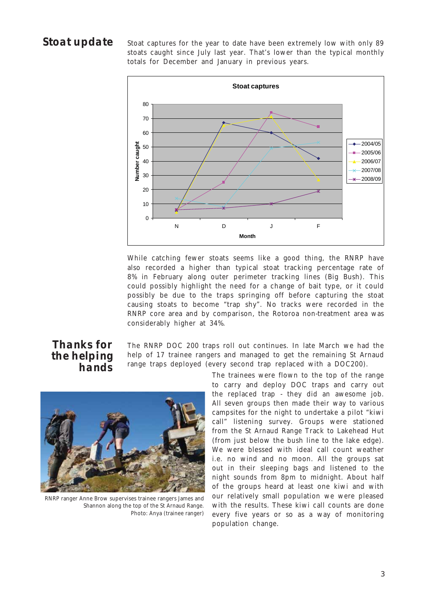# Stoat update

Stoat captures for the year to date have been extremely low with only 89 stoats caught since July last year. That's lower than the typical monthly totals for December and January in previous years.



While catching fewer stoats seems like a good thing, the RNRP have also recorded a higher than typical stoat tracking percentage rate of 8% in February along outer perimeter tracking lines (Big Bush). This could possibly highlight the need for a change of bait type, or it could possibly be due to the traps springing off before capturing the stoat causing stoats to become "trap shy". No tracks were recorded in the RNRP core area and by comparison, the Rotoroa non-treatment area was considerably higher at 34%.

#### Thanks for the helping hands

The RNRP DOC 200 traps roll out continues. In late March we had the help of 17 trainee rangers and managed to get the remaining St Arnaud range traps deployed (every second trap replaced with a DOC200).



RNRP ranger Anne Brow supervises trainee rangers James and Shannon along the top of the St Arnaud Range. Photo: Anya (trainee ranger)

The trainees were flown to the top of the range to carry and deploy DOC traps and carry out the replaced trap - they did an awesome job. All seven groups then made their way to various campsites for the night to undertake a pilot "kiwi call" listening survey. Groups were stationed from the St Arnaud Range Track to Lakehead Hut (from just below the bush line to the lake edge). We were blessed with ideal call count weather i.e. no wind and no moon. All the groups sat out in their sleeping bags and listened to the night sounds from 8pm to midnight. About half of the groups heard at least one kiwi and with our relatively small population we were pleased with the results. These kiwi call counts are done every five years or so as a way of monitoring population change.